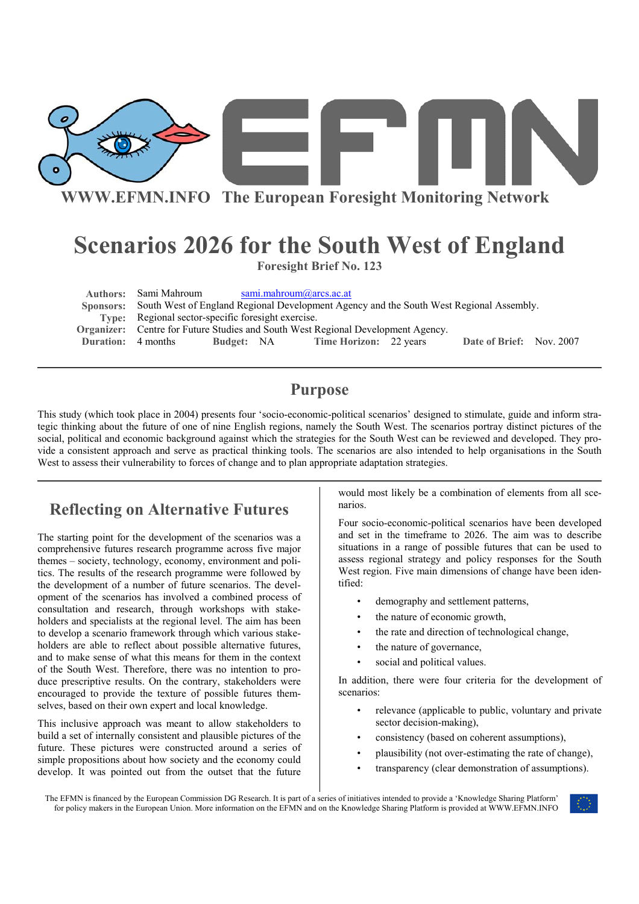

# **Scenarios 2026 for the South West of England Foresight Brief No. 123**

Authors: Sami Mahroum sami.mahroum@arcs.ac.at  **Sponsors:** South West of England Regional Development Agency and the South West Regional Assembly. **Type:** Regional sector-specific foresight exercise. **Organizer:** Centre for Future Studies and South West Regional Development Agency. **Duration:** 4 months **Budget:** NA **Time Horizon:** 22 years **Date of Brief:** Nov. 2007

#### **Purpose**

This study (which took place in 2004) presents four 'socio-economic-political scenarios' designed to stimulate, guide and inform strategic thinking about the future of one of nine English regions, namely the South West. The scenarios portray distinct pictures of the social, political and economic background against which the strategies for the South West can be reviewed and developed. They provide a consistent approach and serve as practical thinking tools. The scenarios are also intended to help organisations in the South West to assess their vulnerability to forces of change and to plan appropriate adaptation strategies.

## **Reflecting on Alternative Futures**

The starting point for the development of the scenarios was a comprehensive futures research programme across five major themes – society, technology, economy, environment and politics. The results of the research programme were followed by the development of a number of future scenarios. The development of the scenarios has involved a combined process of consultation and research, through workshops with stakeholders and specialists at the regional level. The aim has been to develop a scenario framework through which various stakeholders are able to reflect about possible alternative futures, and to make sense of what this means for them in the context of the South West. Therefore, there was no intention to produce prescriptive results. On the contrary, stakeholders were encouraged to provide the texture of possible futures themselves, based on their own expert and local knowledge.

This inclusive approach was meant to allow stakeholders to build a set of internally consistent and plausible pictures of the future. These pictures were constructed around a series of simple propositions about how society and the economy could develop. It was pointed out from the outset that the future

would most likely be a combination of elements from all scenarios.

Four socio-economic-political scenarios have been developed and set in the timeframe to 2026. The aim was to describe situations in a range of possible futures that can be used to assess regional strategy and policy responses for the South West region. Five main dimensions of change have been identified:

- demography and settlement patterns,
- the nature of economic growth,
- the rate and direction of technological change,
- the nature of governance,
- social and political values.

In addition, there were four criteria for the development of scenarios:

- relevance (applicable to public, voluntary and private sector decision-making),
- consistency (based on coherent assumptions),
- plausibility (not over-estimating the rate of change),
- transparency (clear demonstration of assumptions).

The EFMN is financed by the European Commission DG Research. It is part of a series of initiatives intended to provide a 'Knowledge Sharing Platform' for policy makers in the European Union. More information on the EFMN and on the Knowledge Sharing Platform is provided at WWW.EFMN.INFO

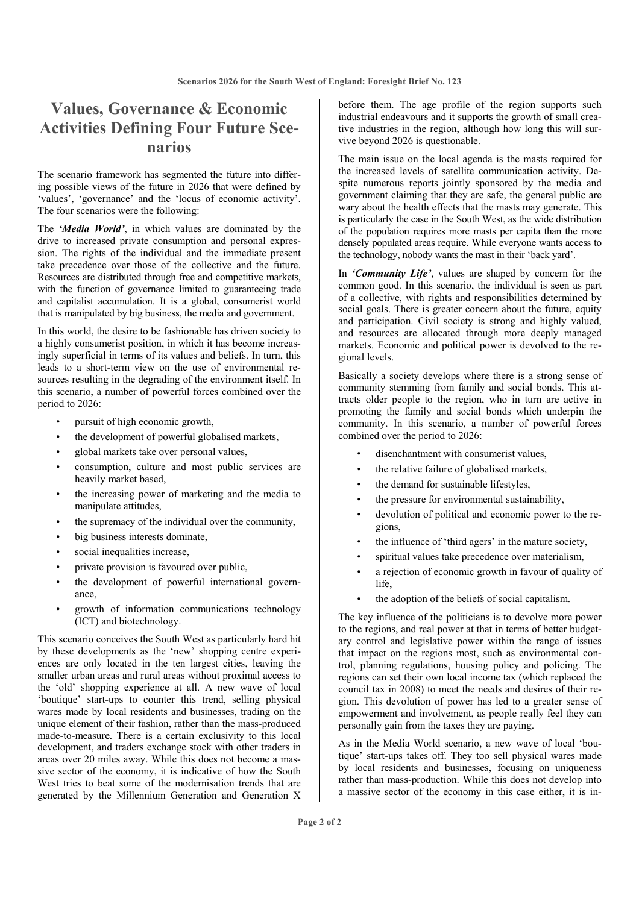### **Values, Governance & Economic Activities Defining Four Future Scenarios**

The scenario framework has segmented the future into differing possible views of the future in 2026 that were defined by 'values', 'governance' and the 'locus of economic activity'. The four scenarios were the following:

The *'Media World'*, in which values are dominated by the drive to increased private consumption and personal expression. The rights of the individual and the immediate present take precedence over those of the collective and the future. Resources are distributed through free and competitive markets, with the function of governance limited to guaranteeing trade and capitalist accumulation. It is a global, consumerist world that is manipulated by big business, the media and government.

In this world, the desire to be fashionable has driven society to a highly consumerist position, in which it has become increasingly superficial in terms of its values and beliefs. In turn, this leads to a short-term view on the use of environmental resources resulting in the degrading of the environment itself. In this scenario, a number of powerful forces combined over the period to 2026:

- pursuit of high economic growth,
- the development of powerful globalised markets,
- global markets take over personal values,
- consumption, culture and most public services are heavily market based,
- the increasing power of marketing and the media to manipulate attitudes,
- the supremacy of the individual over the community,
- big business interests dominate,
- social inequalities increase,
- private provision is favoured over public,
- the development of powerful international governance,
- growth of information communications technology (ICT) and biotechnology.

This scenario conceives the South West as particularly hard hit by these developments as the 'new' shopping centre experiences are only located in the ten largest cities, leaving the smaller urban areas and rural areas without proximal access to the 'old' shopping experience at all. A new wave of local 'boutique' start-ups to counter this trend, selling physical wares made by local residents and businesses, trading on the unique element of their fashion, rather than the mass-produced made-to-measure. There is a certain exclusivity to this local development, and traders exchange stock with other traders in areas over 20 miles away. While this does not become a massive sector of the economy, it is indicative of how the South West tries to beat some of the modernisation trends that are generated by the Millennium Generation and Generation X

before them. The age profile of the region supports such industrial endeavours and it supports the growth of small creative industries in the region, although how long this will survive beyond 2026 is questionable.

The main issue on the local agenda is the masts required for the increased levels of satellite communication activity. Despite numerous reports jointly sponsored by the media and government claiming that they are safe, the general public are wary about the health effects that the masts may generate. This is particularly the case in the South West, as the wide distribution of the population requires more masts per capita than the more densely populated areas require. While everyone wants access to the technology, nobody wants the mast in their 'back yard'.

In *'Community Life'*, values are shaped by concern for the common good. In this scenario, the individual is seen as part of a collective, with rights and responsibilities determined by social goals. There is greater concern about the future, equity and participation. Civil society is strong and highly valued, and resources are allocated through more deeply managed markets. Economic and political power is devolved to the regional levels.

Basically a society develops where there is a strong sense of community stemming from family and social bonds. This attracts older people to the region, who in turn are active in promoting the family and social bonds which underpin the community. In this scenario, a number of powerful forces combined over the period to 2026:

- disenchantment with consumerist values,
- the relative failure of globalised markets,
- the demand for sustainable lifestyles,
- the pressure for environmental sustainability,
- devolution of political and economic power to the regions,
- the influence of 'third agers' in the mature society,
- spiritual values take precedence over materialism,
- a rejection of economic growth in favour of quality of life,
- the adoption of the beliefs of social capitalism.

The key influence of the politicians is to devolve more power to the regions, and real power at that in terms of better budgetary control and legislative power within the range of issues that impact on the regions most, such as environmental control, planning regulations, housing policy and policing. The regions can set their own local income tax (which replaced the council tax in 2008) to meet the needs and desires of their region. This devolution of power has led to a greater sense of empowerment and involvement, as people really feel they can personally gain from the taxes they are paying.

As in the Media World scenario, a new wave of local 'boutique' start-ups takes off. They too sell physical wares made by local residents and businesses, focusing on uniqueness rather than mass-production. While this does not develop into a massive sector of the economy in this case either, it is in-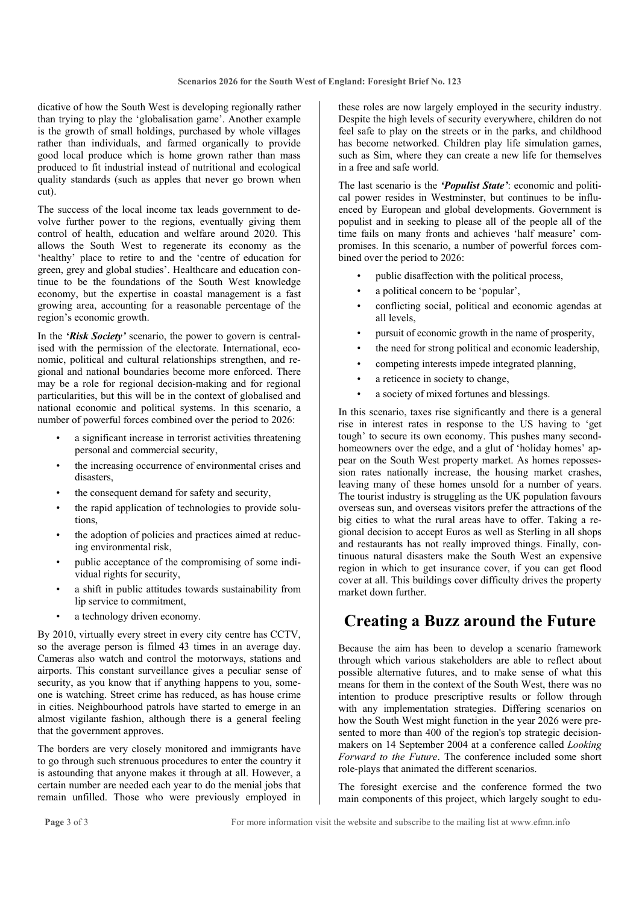dicative of how the South West is developing regionally rather than trying to play the 'globalisation game'. Another example is the growth of small holdings, purchased by whole villages rather than individuals, and farmed organically to provide good local produce which is home grown rather than mass produced to fit industrial instead of nutritional and ecological quality standards (such as apples that never go brown when cut).

The success of the local income tax leads government to devolve further power to the regions, eventually giving them control of health, education and welfare around 2020. This allows the South West to regenerate its economy as the 'healthy' place to retire to and the 'centre of education for green, grey and global studies'. Healthcare and education continue to be the foundations of the South West knowledge economy, but the expertise in coastal management is a fast growing area, accounting for a reasonable percentage of the region's economic growth.

In the *'Risk Society'* scenario, the power to govern is centralised with the permission of the electorate. International, economic, political and cultural relationships strengthen, and regional and national boundaries become more enforced. There may be a role for regional decision-making and for regional particularities, but this will be in the context of globalised and national economic and political systems. In this scenario, a number of powerful forces combined over the period to 2026:

- a significant increase in terrorist activities threatening personal and commercial security,
- the increasing occurrence of environmental crises and disasters,
- the consequent demand for safety and security,
- the rapid application of technologies to provide solutions,
- the adoption of policies and practices aimed at reducing environmental risk,
- public acceptance of the compromising of some individual rights for security,
- a shift in public attitudes towards sustainability from lip service to commitment,
- a technology driven economy.

By 2010, virtually every street in every city centre has CCTV, so the average person is filmed 43 times in an average day. Cameras also watch and control the motorways, stations and airports. This constant surveillance gives a peculiar sense of security, as you know that if anything happens to you, someone is watching. Street crime has reduced, as has house crime in cities. Neighbourhood patrols have started to emerge in an almost vigilante fashion, although there is a general feeling that the government approves.

The borders are very closely monitored and immigrants have to go through such strenuous procedures to enter the country it is astounding that anyone makes it through at all. However, a certain number are needed each year to do the menial jobs that remain unfilled. Those who were previously employed in

these roles are now largely employed in the security industry. Despite the high levels of security everywhere, children do not feel safe to play on the streets or in the parks, and childhood has become networked. Children play life simulation games, such as Sim, where they can create a new life for themselves in a free and safe world.

The last scenario is the *'Populist State'*: economic and political power resides in Westminster, but continues to be influenced by European and global developments. Government is populist and in seeking to please all of the people all of the time fails on many fronts and achieves 'half measure' compromises. In this scenario, a number of powerful forces combined over the period to 2026:

- public disaffection with the political process,
- a political concern to be 'popular',
- conflicting social, political and economic agendas at all levels,
- pursuit of economic growth in the name of prosperity,
- the need for strong political and economic leadership,
- competing interests impede integrated planning,
- a reticence in society to change,
- a society of mixed fortunes and blessings.

In this scenario, taxes rise significantly and there is a general rise in interest rates in response to the US having to 'get tough' to secure its own economy. This pushes many secondhomeowners over the edge, and a glut of 'holiday homes' appear on the South West property market. As homes repossession rates nationally increase, the housing market crashes, leaving many of these homes unsold for a number of years. The tourist industry is struggling as the UK population favours overseas sun, and overseas visitors prefer the attractions of the big cities to what the rural areas have to offer. Taking a regional decision to accept Euros as well as Sterling in all shops and restaurants has not really improved things. Finally, continuous natural disasters make the South West an expensive region in which to get insurance cover, if you can get flood cover at all. This buildings cover difficulty drives the property market down further.

#### **Creating a Buzz around the Future**

Because the aim has been to develop a scenario framework through which various stakeholders are able to reflect about possible alternative futures, and to make sense of what this means for them in the context of the South West, there was no intention to produce prescriptive results or follow through with any implementation strategies. Differing scenarios on how the South West might function in the year 2026 were presented to more than 400 of the region's top strategic decisionmakers on 14 September 2004 at a conference called *Looking Forward to the Future*. The conference included some short role-plays that animated the different scenarios.

The foresight exercise and the conference formed the two main components of this project, which largely sought to edu